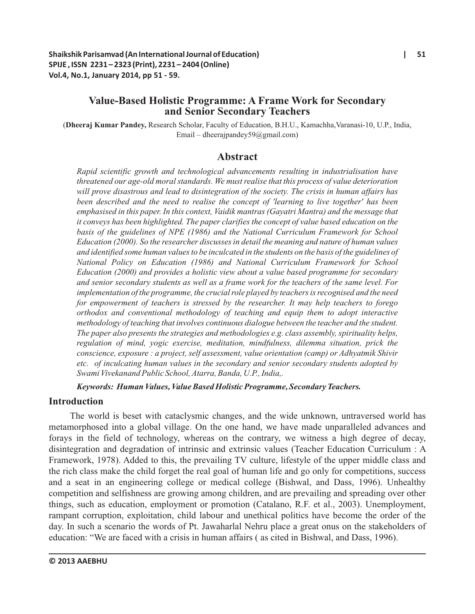# **Value-Based Holistic Programme: A Frame Work for Secondary and Senior Secondary Teachers**

(**Dheeraj Kumar Pandey,** Research Scholar, Faculty of Education, B.H.U., Kamachha,Varanasi-10, U.P., India, Email – dheerajpandey59@gmail.com)

# **Abstract**

*Rapid scientific growth and technological advancements resulting in industrialisation have threatened our age-old moral standards. We must realise that this process of value deterioration will prove disastrous and lead to disintegration of the society. The crisis in human affairs has been described and the need to realise the concept of 'learning to live together' has been emphasised in this paper. In this context, Vaidik mantras (Gayatri Mantra) and the message that it conveys has been highlighted. The paper clarifies the concept of value based education on the basis of the guidelines of NPE (1986) and the National Curriculum Framework for School Education (2000). So the researcher discusses in detail the meaning and nature of human values and identified some human values to be inculcated in the students on the basis of the guidelines of National Policy on Education (1986) and National Curriculum Framework for School Education (2000) and provides a holistic view about a value based programme for secondary and senior secondary students as well as a frame work for the teachers of the same level. For implementation of the programme, the crucial role played by teachers is recognised and the need for empowerment of teachers is stressed by the researcher. It may help teachers to forego orthodox and conventional methodology of teaching and equip them to adopt interactive methodology of teaching that involves continuous dialogue between the teacher and the student. The paper also presents the strategies and methodologies e.g. class assembly, spirituality helps, regulation of mind, yogic exercise, meditation, mindfulness, dilemma situation, prick the conscience, exposure : a project, self assessment, value orientation (camp) or Adhyatmik Shivir etc. of inculcating human values in the secondary and senior secondary students adopted by Swami Vivekanand Public School, Atarra, Banda, U.P., India,.*

*Keywords: Human Values, Value Based Holistic Programme, Secondary Teachers.* 

## **Introduction**

The world is beset with cataclysmic changes, and the wide unknown, untraversed world has metamorphosed into a global village. On the one hand, we have made unparalleled advances and forays in the field of technology, whereas on the contrary, we witness a high degree of decay, disintegration and degradation of intrinsic and extrinsic values (Teacher Education Curriculum : A Framework, 1978). Added to this, the prevailing TV culture, lifestyle of the upper middle class and the rich class make the child forget the real goal of human life and go only for competitions, success and a seat in an engineering college or medical college (Bishwal, and Dass, 1996). Unhealthy competition and selfishness are growing among children, and are prevailing and spreading over other things, such as education, employment or promotion (Catalano, R.F. et al., 2003). Unemployment, rampant corruption, exploitation, child labour and unethical politics have become the order of the day. In such a scenario the words of Pt. Jawaharlal Nehru place a great onus on the stakeholders of education: "We are faced with a crisis in human affairs ( as cited in Bishwal, and Dass, 1996).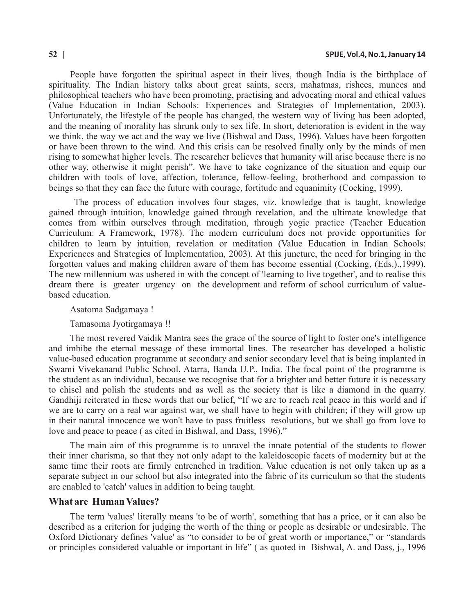People have forgotten the spiritual aspect in their lives, though India is the birthplace of spirituality. The Indian history talks about great saints, seers, mahatmas, rishees, munees and philosophical teachers who have been promoting, practising and advocating moral and ethical values (Value Education in Indian Schools: Experiences and Strategies of Implementation, 2003). Unfortunately, the lifestyle of the people has changed, the western way of living has been adopted, and the meaning of morality has shrunk only to sex life. In short, deterioration is evident in the way we think, the way we act and the way we live (Bishwal and Dass, 1996). Values have been forgotten or have been thrown to the wind. And this crisis can be resolved finally only by the minds of men rising to somewhat higher levels. The researcher believes that humanity will arise because there is no other way, otherwise it might perish". We have to take cognizance of the situation and equip our children with tools of love, affection, tolerance, fellow-feeling, brotherhood and compassion to beings so that they can face the future with courage, fortitude and equanimity (Cocking, 1999).

The process of education involves four stages, viz. knowledge that is taught, knowledge gained through intuition, knowledge gained through revelation, and the ultimate knowledge that comes from within ourselves through meditation, through yogic practice (Teacher Education Curriculum: A Framework, 1978). The modern curriculum does not provide opportunities for children to learn by intuition, revelation or meditation (Value Education in Indian Schools: Experiences and Strategies of Implementation, 2003). At this juncture, the need for bringing in the forgotten values and making children aware of them has become essential (Cocking, (Eds.).,1999). The new millennium was ushered in with the concept of 'learning to live together', and to realise this dream there is greater urgency on the development and reform of school curriculum of valuebased education.

#### Asatoma Sadgamaya !

#### Tamasoma Jyotirgamaya !!

The most revered Vaidik Mantra sees the grace of the source of light to foster one's intelligence and imbibe the eternal message of these immortal lines. The researcher has developed a holistic value-based education programme at secondary and senior secondary level that is being implanted in Swami Vivekanand Public School, Atarra, Banda U.P., India. The focal point of the programme is the student as an individual, because we recognise that for a brighter and better future it is necessary to chisel and polish the students and as well as the society that is like a diamond in the quarry. Gandhiji reiterated in these words that our belief, "If we are to reach real peace in this world and if we are to carry on a real war against war, we shall have to begin with children; if they will grow up in their natural innocence we won't have to pass fruitless resolutions, but we shall go from love to love and peace to peace ( as cited in Bishwal, and Dass, 1996)."

The main aim of this programme is to unravel the innate potential of the students to flower their inner charisma, so that they not only adapt to the kaleidoscopic facets of modernity but at the same time their roots are firmly entrenched in tradition. Value education is not only taken up as a separate subject in our school but also integrated into the fabric of its curriculum so that the students are enabled to 'catch' values in addition to being taught.

#### **What are Human Values?**

The term 'values' literally means 'to be of worth', something that has a price, or it can also be described as a criterion for judging the worth of the thing or people as desirable or undesirable. The Oxford Dictionary defines 'value' as "to consider to be of great worth or importance," or "standards or principles considered valuable or important in life" ( as quoted in Bishwal, A. and Dass, j., 1996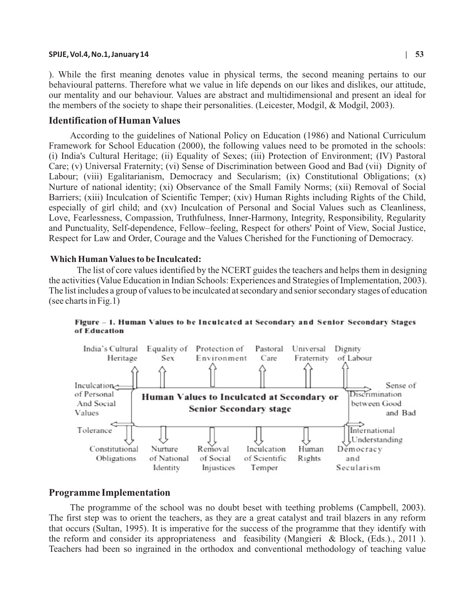#### **SPIJE, Vol.4, No.1, January 14 | 53**

). While the first meaning denotes value in physical terms, the second meaning pertains to our behavioural patterns. Therefore what we value in life depends on our likes and dislikes, our attitude, our mentality and our behaviour. Values are abstract and multidimensional and present an ideal for the members of the society to shape their personalities. (Leicester, Modgil, & Modgil, 2003).

#### **Identification of Human Values**

According to the guidelines of National Policy on Education (1986) and National Curriculum Framework for School Education (2000), the following values need to be promoted in the schools: (i) India's Cultural Heritage; (ii) Equality of Sexes; (iii) Protection of Environment; (IV) Pastoral Care; (v) Universal Fraternity; (vi) Sense of Discrimination between Good and Bad (vii) Dignity of Labour; (viii) Egalitarianism, Democracy and Secularism; (ix) Constitutional Obligations; (x) Nurture of national identity; (xi) Observance of the Small Family Norms; (xii) Removal of Social Barriers; (xiii) Inculcation of Scientific Temper; (xiv) Human Rights including Rights of the Child, especially of girl child; and (xv) Inculcation of Personal and Social Values such as Cleanliness, Love, Fearlessness, Compassion, Truthfulness, Inner-Harmony, Integrity, Responsibility, Regularity and Punctuality, Self-dependence, Fellow–feeling, Respect for others' Point of View, Social Justice, Respect for Law and Order, Courage and the Values Cherished for the Functioning of Democracy.

#### **Which Human Values to be Inculcated:**

The list of core values identified by the NCERT guides the teachers and helps them in designing the activities (Value Education in Indian Schools: Experiences and Strategies of Implementation, 2003). The list includes a group of values to be inculcated at secondary and senior secondary stages of education (see charts in Fig.1)



Figure - 1. Human Values to be Inculcated at Secondary and Senior Secondary Stages of Education

#### **Programme Implementation**

The programme of the school was no doubt beset with teething problems (Campbell, 2003). The first step was to orient the teachers, as they are a great catalyst and trail blazers in any reform that occurs (Sultan, 1995). It is imperative for the success of the programme that they identify with the reform and consider its appropriateness and feasibility (Mangieri & Block,  $(Eds.)$ , 2011). Teachers had been so ingrained in the orthodox and conventional methodology of teaching value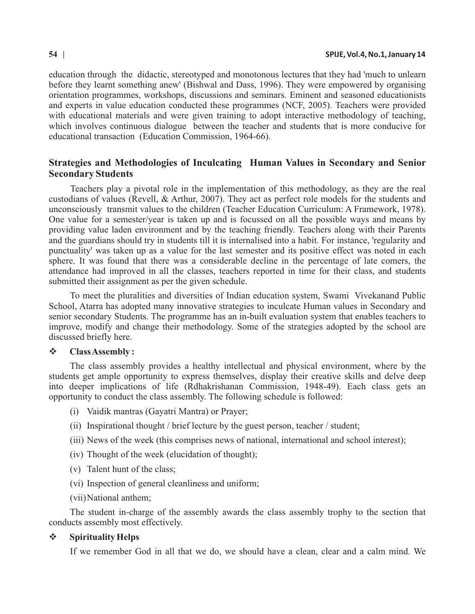education through the didactic, stereotyped and monotonous lectures that they had 'much to unlearn before they learnt something anew' (Bishwal and Dass, 1996). They were empowered by organising orientation programmes, workshops, discussions and seminars. Eminent and seasoned educationists and experts in value education conducted these programmes (NCF, 2005). Teachers were provided with educational materials and were given training to adopt interactive methodology of teaching, which involves continuous dialogue between the teacher and students that is more conducive for educational transaction (Education Commission, 1964-66).

# **Strategies and Methodologies of Inculcating Human Values in Secondary and Senior Secondary Students**

Teachers play a pivotal role in the implementation of this methodology, as they are the real custodians of values (Revell, & Arthur, 2007). They act as perfect role models for the students and unconsciously transmit values to the children (Teacher Education Curriculum: A Framework, 1978). One value for a semester/year is taken up and is focussed on all the possible ways and means by providing value laden environment and by the teaching friendly. Teachers along with their Parents and the guardians should try in students till it is internalised into a habit. For instance, 'regularity and punctuality' was taken up as a value for the last semester and its positive effect was noted in each sphere. It was found that there was a considerable decline in the percentage of late comers, the attendance had improved in all the classes, teachers reported in time for their class, and students submitted their assignment as per the given schedule.

To meet the pluralities and diversities of Indian education system, Swami Vivekanand Public School, Atarra has adopted many innovative strategies to inculcate Human values in Secondary and senior secondary Students. The programme has an in-built evaluation system that enables teachers to improve, modify and change their methodology. Some of the strategies adopted by the school are discussed briefly here.

## v**Class Assembly :**

The class assembly provides a healthy intellectual and physical environment, where by the students get ample opportunity to express themselves, display their creative skills and delve deep into deeper implications of life (Rdhakrishanan Commission, 1948-49). Each class gets an opportunity to conduct the class assembly. The following schedule is followed:

- (i) Vaidik mantras (Gayatri Mantra) or Prayer;
- (ii) Inspirational thought / brief lecture by the guest person, teacher / student;
- (iii) News of the week (this comprises news of national, international and school interest);
- (iv) Thought of the week (elucidation of thought);
- (v) Talent hunt of the class;
- (vi) Inspection of general cleanliness and uniform;
- (vii)National anthem;

The student in-charge of the assembly awards the class assembly trophy to the section that conducts assembly most effectively.

### v **Spirituality Helps**

If we remember God in all that we do, we should have a clean, clear and a calm mind. We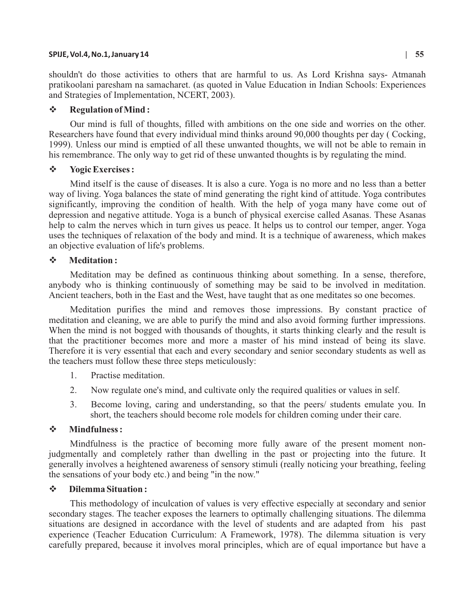#### **SPIJE, Vol.4, No.1, January 14 | 55**

shouldn't do those activities to others that are harmful to us. As Lord Krishna says- Atmanah pratikoolani paresham na samacharet. (as quoted in Value Education in Indian Schools: Experiences and Strategies of Implementation, NCERT, 2003).

### v **Regulation of Mind :**

Our mind is full of thoughts, filled with ambitions on the one side and worries on the other. Researchers have found that every individual mind thinks around 90,000 thoughts per day ( Cocking, 1999). Unless our mind is emptied of all these unwanted thoughts, we will not be able to remain in his remembrance. The only way to get rid of these unwanted thoughts is by regulating the mind.

### v **Yogic Exercises :**

Mind itself is the cause of diseases. It is also a cure. Yoga is no more and no less than a better way of living. Yoga balances the state of mind generating the right kind of attitude. Yoga contributes significantly, improving the condition of health. With the help of yoga many have come out of depression and negative attitude. Yoga is a bunch of physical exercise called Asanas. These Asanas help to calm the nerves which in turn gives us peace. It helps us to control our temper, anger. Yoga uses the techniques of relaxation of the body and mind. It is a technique of awareness, which makes an objective evaluation of life's problems.

### $\div$  **Meditation:**

Meditation may be defined as continuous thinking about something. In a sense, therefore, anybody who is thinking continuously of something may be said to be involved in meditation. Ancient teachers, both in the East and the West, have taught that as one meditates so one becomes.

Meditation purifies the mind and removes those impressions. By constant practice of meditation and cleaning, we are able to purify the mind and also avoid forming further impressions. When the mind is not bogged with thousands of thoughts, it starts thinking clearly and the result is that the practitioner becomes more and more a master of his mind instead of being its slave. Therefore it is very essential that each and every secondary and senior secondary students as well as the teachers must follow these three steps meticulously:

- 1. Practise meditation.
- 2. Now regulate one's mind, and cultivate only the required qualities or values in self.
- 3. Become loving, caring and understanding, so that the peers/ students emulate you. In short, the teachers should become role models for children coming under their care.

### v **Mindfulness :**

Mindfulness is the practice of becoming more fully aware of the present moment nonjudgmentally and completely rather than dwelling in the past or projecting into the future. It generally involves a heightened awareness of sensory stimuli (really noticing your breathing, feeling the sensations of your body etc.) and being "in the now ."

### v **Dilemma Situation :**

This methodology of inculcation of values is very effective especially at secondary and senior secondary stages. The teacher exposes the learners to optimally challenging situations. The dilemma situations are designed in accordance with the level of students and are adapted from his past experience (Teacher Education Curriculum: A Framework, 1978). The dilemma situation is very carefully prepared, because it involves moral principles, which are of equal importance but have a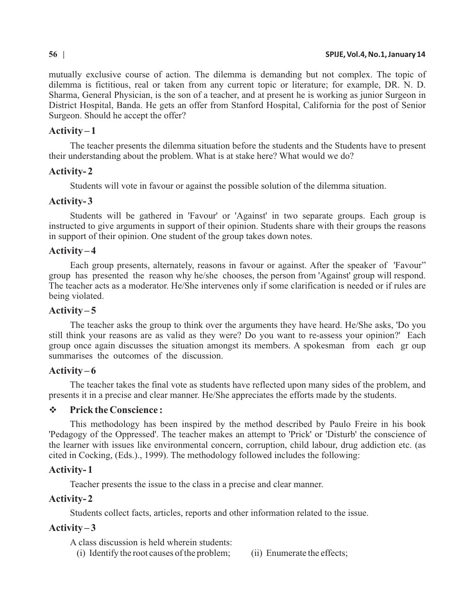#### **56 | SPIJE, Vol.4, No.1, January 14**

mutually exclusive course of action. The dilemma is demanding but not complex. The topic of dilemma is fictitious, real or taken from any current topic or literature; for example, DR. N. D. Sharma, General Physician, is the son of a teacher, and at present he is working as junior Surgeon in District Hospital, Banda. He gets an offer from Stanford Hospital, California for the post of Senior Surgeon. Should he accept the offer?

## **Activity – 1**

The teacher presents the dilemma situation before the students and the Students have to present their understanding about the problem. What is at stake here? What would we do?

# **Activity- 2**

Students will vote in favour or against the possible solution of the dilemma situation.

# **Activity- 3**

Students will be gathered in 'Favour' or 'Against' in two separate groups. Each group is instructed to give arguments in support of their opinion. Students share with their groups the reasons in support of their opinion. One student of the group takes down notes.

# **Activity – 4**

Each group presents, alternately, reasons in favour or against. After the speaker of 'Favour" group has presented the reason why he/she chooses, the person from 'Against' group will respond. The teacher acts as a moderator. He/She intervenes only if some clarification is needed or if rules are being violated.

# **Activity – 5**

The teacher asks the group to think over the arguments they have heard. He/She asks, 'Do you still think your reasons are as valid as they were? Do you want to re-assess your opinion?' Each group once again discusses the situation amongst its members. A spokesman from each gr oup summarises the outcomes of the discussion.

## **Activity – 6**

The teacher takes the final vote as students have reflected upon many sides of the problem, and presents it in a precise and clear manner . He/She appreciates the efforts made by the students.

# v **Prick the Conscience :**

This methodology has been inspired by the method described by Paulo Freire in his book 'Pedagogy of the Oppressed'. The teacher makes an attempt to 'Prick' or 'Disturb' the conscience of the learner with issues like environmental concern, corruption, child labour, drug addiction etc. (as cited in Cocking, (Eds.)., 1999). The methodology followed includes the following:

## **Activity- 1**

Teacher presents the issue to the class in a precise and clear manner.

## **Activity- 2**

Students collect facts, articles, reports and other information related to the issue.

# **Activity – 3**

A class discussion is held wherein students:

- (i) Identify the root causes of the problem; (ii) Enumerate the effects;
-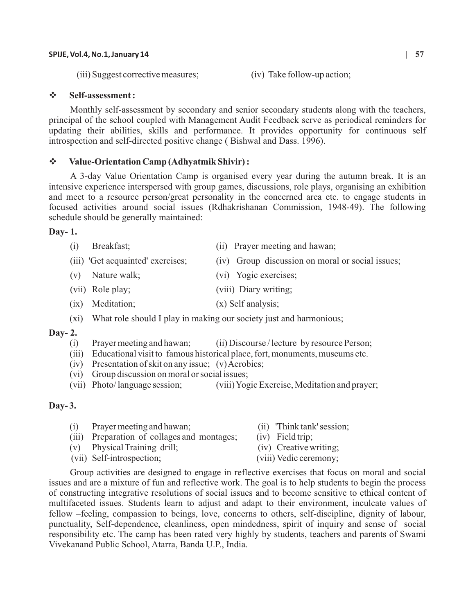#### **SPIJE, Vol.4, No.1, January 14 | 57**

(iii) Suggest corrective measures; (iv) Take follow-up action;

## v **Self-assessment :**

Monthly self-assessment by secondary and senior secondary students along with the teachers, principal of the school coupled with Management Audit Feedback serve as periodical reminders for updating their abilities, skills and performance. It provides opportunity for continuous self introspection and self-directed positive change ( Bishwal and Dass. 1996).

### v**Value-Orientation Camp (Adhyatmik Shivir) :**

A 3-day Value Orientation Camp is organised every year during the autumn break. It is an intensive experience interspersed with group games, discussions, role plays, organising an exhibition and meet to a resource person/great personality in the concerned area etc. to engage students in focused activities around social issues (Rdhakrishanan Commission, 1948-49). The following schedule should be generally maintained:

#### **Day- 1.**

- (i) Breakfast; (ii) Prayer meeting and hawan;
- (iii) 'Get acquainted' exercises; (iv) Group discussion on moral or social issues;
- (v) Nature walk; (vi) Yogic exercises;
- (viii) Role play; (viii) Diary writing;
- (ix) Meditation; (x) Self analysis;
- (xi) What role should I play in making our society just and harmonious;

### **Day- 2.**

- (i) Prayer meeting and hawan; (ii) Discourse / lecture by resource Person;
- (iii) Educational visit to famous historical place, fort, monuments, museums etc.
- (iv) Presentation of skit on any issue; (v) Aerobics;
- (vi) Group discussion on moral or social issues;
- (vii) Photo/ language session; (viii) Yogic Exercise, Meditation and prayer;

## **Day- 3.**

- (i) Prayer meeting and hawan; (ii) 'Think tank' session;
- (iii) Preparation of collages and montages; (iv) Field trip;
- (v) Physical Training drill; (iv) Creative writing;
	-
- 
- 
- 
- (vii) Self-introspection; (viii) Vedic ceremony;
- Group activities are designed to engage in reflective exercises that focus on moral and social issues and are a mixture of fun and reflective work. The goal is to help students to begin the process of constructing integrative resolutions of social issues and to become sensitive to ethical content of multifaceted issues. Students learn to adjust and adapt to their environment, inculcate values of fellow –feeling, compassion to beings, love, concerns to others, self-discipline, dignity of labour, punctuality, Self-dependence, cleanliness, open mindedness, spirit of inquiry and sense of social responsibility etc. The camp has been rated very highly by students, teachers and parents of Swami
	- Vivekanand Public School, Atarra, Banda U.P., India.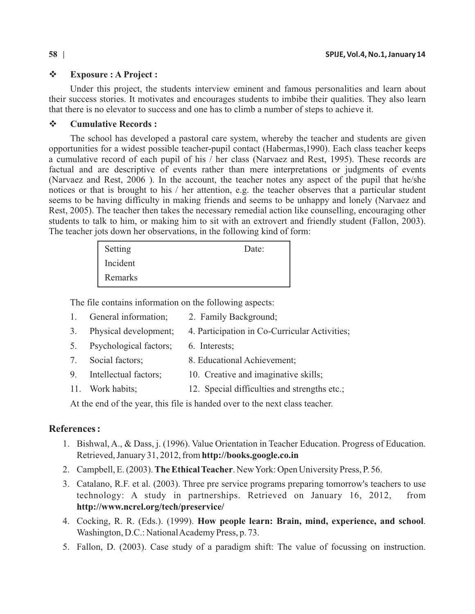# v **Exposure : A Project :**

Under this project, the students interview eminent and famous personalities and learn about their success stories. It motivates and encourages students to imbibe their qualities. They also learn that there is no elevator to success and one has to climb a number of steps to achieve it.

# v**Cumulative Records :**

The school has developed a pastoral care system, whereby the teacher and students are given opportunities for a widest possible teacher-pupil contact (Habermas,1990). Each class teacher keeps a cumulative record of each pupil of his / her class (Narvaez and Rest, 1995). These records are factual and are descriptive of events rather than mere interpretations or judgments of events (Narvaez and Rest, 2006 ). In the account, the teacher notes any aspect of the pupil that he/she notices or that is brought to his / her attention, e.g. the teacher observes that a particular student seems to be having difficulty in making friends and seems to be unhappy and lonely (Narvaez and Rest, 2005). The teacher then takes the necessary remedial action like counselling, encouraging other students to talk to him, or making him to sit with an extrovert and friendly student (Fallon, 2003). The teacher jots down her observations, in the following kind of form:

| Setting  | Date: |
|----------|-------|
| Incident |       |
| Remarks  |       |

The file contains information on the following aspects:

- 1. General information; 2. Family Background;
- 3. Physical development; 4. Participation in Co-Curricular Activities;
- 5. Psychological factors; 6. Interests;
- 7. Social factors; 8. Educational Achievement;
- 9. Intellectual factors; 10. Creative and imaginative skills;
- 11. Work habits; 12. Special difficulties and strengths etc.;

At the end of the year, this file is handed over to the next class teacher.

# **References :**

- 1. Bishwal, A., & Dass, j. (1996). Value Orientation in Teacher Education. Progress of Education. Retrieved, January 31, 2012, from **http://books.google.co.in**
- 2. Campbell, E. (2003). **The Ethical Teacher**. New York: Open University Press, P. 56.
- 3. Catalano, R.F. et al. (2003). Three pre service programs preparing tomorrow's teachers to use technology: A study in partnerships. Retrieved on January 16, 2012, from **http://www.ncrel.org/tech/preservice/**
- 4. Cocking, R. R. (Eds.). (1999). **How people learn: Brain, mind, experience, and school**. Washington, D.C.: National Academy Press, p. 73.
- 5. Fallon, D. (2003). Case study of a paradigm shift: The value of focussing on instruction.